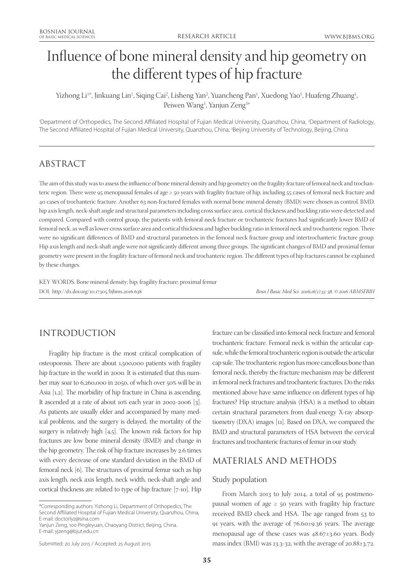# Influence of bone mineral density and hip geometry on the different types of hip fracture

Yizhong Li<sup>1</sup>\*, Jinkuang Lin<sup>1</sup>, Siqing Cai<sup>2</sup>, Lisheng Yan<sup>2</sup>, Yuancheng Pan<sup>1</sup>, Xuedong Yao<sup>1</sup>, Huafeng Zhuang<sup>1</sup>, Peiwen Wang<sup>1</sup>, Yanjun Zeng<sup>3\*</sup>

'Department of Orthopedics, The Second Affiliated Hospital of Fujian Medical University, Quanzhou, China, <sup>2</sup>Department of Radiology, The Second Affiliated Hospital of Fujian Medical University, Quanzhou, China, 3 Beijing University of Technology, Beijing, China

## ABSTRACT

The aim of this study was to assess the influence of bone mineral density and hip geometry on the fragility fracture of femoral neck and trochanteric region. There were 95 menopausal females of age ≥ 50 years with fragility fracture of hip, including 55 cases of femoral neck fracture and 40 cases of trochanteric fracture. Another 63 non-fractured females with normal bone mineral density (BMD) were chosen as control. BMD, hip axis length, neck-shaft angle and structural parameters including cross surface area, cortical thickness and buckling ratio were detected and compared. Compared with control group, the patients with femoral neck fracture or trochanteric fractures had significantly lower BMD of femoral neck, as well as lower cross surface area and cortical thickness and higher buckling ratio in femoral neck and trochanteric region. There were no significant differences of BMD and structural parameters in the femoral neck fracture group and intertrochanteric fracture group. Hip axis length and neck-shaft angle were not significantly different among three groups. The significant changes of BMD and proximal femur geometry were present in the fragility fracture of femoral neck and trochanteric region. The different types of hip fractures cannot be explained by these changes.

KEY WORDS: Bone mineral density; hip; fragility fracture; proximal femur DOI: http://dx.doi.org/10.17305/bjbms.2016.638 *Bosn J Basic Med Sci. 2016;16(1):35-38. © 2016 ABMSFBIH*

## INTRODUCTION

Fragility hip fracture is the most critical complication of osteoporosis. There are about 1,500,000 patients with fragility hip fracture in the world in 2000. It is estimated that this number may soar to 6,260,000 in 2050, of which over 50% will be in Asia [1,2]. The morbidity of hip fracture in China is ascending. It ascended at a rate of about 10% each year in 2002-2006 [3]. As patients are usually elder and accompanied by many medical problems, and the surgery is delayed, the mortality of the surgery is relatively high [4,5]. The known risk factors for hip fractures are low bone mineral density (BMD) and change in the hip geometry. The risk of hip fracture increases by 2.6 times with every decrease of one standard deviation in the BMD of femoral neck [6]. The structures of proximal femur such as hip axis length, neck axis length, neck width, neck-shaft angle and cortical thickness are related to type of hip fracture [7-10]. Hip

Yanjun Zeng, 100 Pingleyuan, Chaoyang District, Beijing, China. E-mail: yjzeng@bjut.edu.cn

Submitted: 20 July 2015 / Accepted: 25 August 2015

fracture can be classified into femoral neck fracture and femoral trochanteric fracture. Femoral neck is within the articular capsule, while the femoral trochanteric region is outside the articular cap sule. The trochanteric region has more cancellous bone than femoral neck, thereby the fracture mechanism may be different in femoral neck fractures and trochanteric fractures. Do the risks mentioned above have same influence on different types of hip fractures? Hip structure analysis (HSA) is a method to obtain certain structural parameters from dual-energy X-ray absorptiometry (DXA) images [11]. Based on DXA, we compared the BMD and structural parameters of HSA between the cervical fractures and trochanteric fractures of femur in our study.

## MATERIALS AND METHODS

#### Study population

From March 2013 to July 2014, a total of 95 postmenopausal women of age  $\geq$  50 years with fragility hip fracture received BMD check and HSA. The age ranged from 53 to 91 years, with the average of 76.60±9.36 years. The average menopausal age of these cases was 48.67±3.60 years. Body mass index (BMI) was 13.3-32, with the average of 20.88±3.72.

<sup>\*</sup>Corresponding authors: Yizhong Li, Department of Orthopedics, The Second Affiliated Hospital of Fujian Medical University, Quanzhou, China, E-mail: doctorlyz@sina.com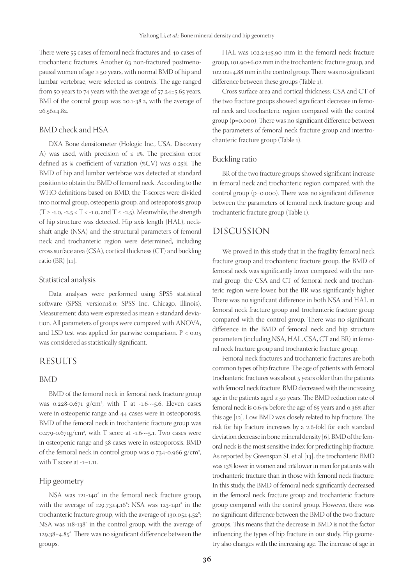There were 55 cases of femoral neck fractures and 40 cases of trochanteric fractures. Another 63 non-fractured postmenopausal women of age ≥ 50 years, with normal BMD of hip and lumbar vertebrae, were selected as controls. The age ranged from 50 years to 74 years with the average of  $57.24 \pm 5.65$  years. BMI of the control group was 20.1-38.2, with the average of  $26.56\pm4.82$ .

#### BMD check and HSA

DXA Bone densitometer (Hologic Inc., USA. Discovery A) was used, with precision of  $\leq$  1%. The precision error defined as % coefficient of variation (%CV) was 0.25%. The BMD of hip and lumbar vertebrae was detected at standard position to obtain the BMD of femoral neck. According to the WHO definitions based on BMD, the T-scores were divided into normal group, osteopenia group, and osteoporosis group  $(T \ge -1.0, -2.5 < T < -1.0,$  and  $T \le -2.5$ ). Meanwhile, the strength of hip structure was detected. Hip axis length (HAL), neckshaft angle (NSA) and the structural parameters of femoral neck and trochanteric region were determined, including cross surface area (CSA), cortical thickness (CT) and buckling ratio (BR) [11].

#### Statistical analysis

Data analyses were performed using SPSS statistical software (SPSS, version18.0; SPSS Inc, Chicago, Illinois). Measurement data were expressed as mean ± standard deviation. All parameters of groups were compared with ANOVA, and LSD test was applied for pairwise comparison.  $P < 0.05$ was considered as statistically significant.

### RESULTS

#### BMD

BMD of the femoral neck in femoral neck fracture group was 0.228-0.671  $g/cm^2$ , with T at -1.6~-5.6. Eleven cases were in osteopenic range and 44 cases were in osteoporosis. BMD of the femoral neck in trochanteric fracture group was  $0.279$ - $0.671g/cm^2$ , with T score at -1.6 $\sim$ -5.1. Two cases were in osteopenic range and 38 cases were in osteoporosis. BMD of the femoral neck in control group was 0.734-0.966 g/cm<sup>2</sup>, with T score at -1~1.11.

#### Hip geometry

NSA was 121-140° in the femoral neck fracture group, with the average of  $129.73\pm4.16^{\circ}$ ; NSA was  $123-140^{\circ}$  in the trochanteric fracture group, with the average of 130.05±4.52°; NSA was 118-138° in the control group, with the average of 129.38±4.85°. There was no significant difference between the groups.

HAL was 102.24±5.90 mm in the femoral neck fracture group, 101.90±6.02 mm in the trochanteric fracture group, and 102.02±4.88 mm in the control group. There was no significant difference between these groups (Table 1).

Cross surface area and cortical thickness: CSA and CT of the two fracture groups showed significant decrease in femoral neck and trochanteric region compared with the control group (p=0.000); There was no significant difference between the parameters of femoral neck fracture group and intertrochanteric fracture group (Table 1).

#### Buckling ratio

BR of the two fracture groups showed significant increase in femoral neck and trochanteric region compared with the control group (p=0.000). There was no significant difference between the parameters of femoral neck fracture group and trochanteric fracture group (Table 1).

## DISCUSSION

We proved in this study that in the fragility femoral neck fracture group and trochanteric fracture group, the BMD of femoral neck was significantly lower compared with the normal group; the CSA and CT of femoral neck and trochanteric region were lower, but the BR was significantly higher. There was no significant difference in both NSA and HAL in femoral neck fracture group and trochanteric fracture group compared with the control group. There was no significant difference in the BMD of femoral neck and hip structure parameters (including NSA, HAL, CSA, CT and BR) in femoral neck fracture group and trochanteric fracture group.

Femoral neck fractures and trochanteric fractures are both common types of hip fracture. The age of patients with femoral trochanteric fractures was about 5 years older than the patients with femoral neck fracture. BMD decreased with the increasing age in the patients aged  $\geq$  50 years. The BMD reduction rate of femoral neck is 0.64% before the age of 65 years and 0.36% after this age [12]. Low BMD was closely related to hip fracture. The risk for hip fracture increases by a 2.6-fold for each standard deviation decrease in bone mineral density [6]. BMD of the femoral neck is the most sensitive index for predicting hip fracture. As reported by Greenspan SL et al [13], the trochanteric BMD was 13% lower in women and 11% lower in men for patients with trochanteric fracture than in those with femoral neck fracture. In this study, the BMD of femoral neck significantly decreased in the femoral neck fracture group and trochanteric fracture group compared with the control group. However, there was no significant difference between the BMD of the two fracture groups. This means that the decrease in BMD is not the factor influencing the types of hip fracture in our study. Hip geometry also changes with the increasing age. The increase of age in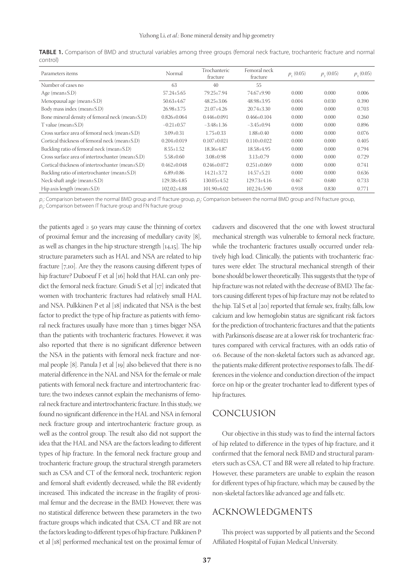| Parameters items                                    | Normal            | Trochanteric<br>fracture | Femoral neck<br>fracture | $p_{1}(0.05)$ | $p_{2}(0.05)$ | $p_{3}(0.05)$ |
|-----------------------------------------------------|-------------------|--------------------------|--------------------------|---------------|---------------|---------------|
| Number of cases no                                  | 63                | 40                       | 55                       |               |               |               |
| Age (mean $\pm$ S.D)                                | $57.24 \pm 5.65$  | 79.25+7.94               | 74.67±9.90               | 0.000         | 0.000         | 0.006         |
| Menopausal age (mean $\pm$ S.D)                     | $50.63 \pm 4.67$  | $48.25 \pm 3.06$         | $48.98 \pm 3.95$         | 0.004         | 0.030         | 0.390         |
| Body mass index (mean $\pm$ S.D)                    | $26.98 \pm 3.75$  | $21.07 \pm 4.26$         | $20.74 \pm 3.30$         | 0.000         | 0.000         | 0.703         |
| Bone mineral density of femoral neck (mean±S.D)     | $0.826 \pm 0.064$ | $0.446 \pm 0.091$        | $0.466+0.104$            | 0.000         | 0.000         | 0.260         |
| $T$ value (mean $\pm$ S.D)                          | $-0.21 \pm 0.57$  | $-3.48 \pm 1.36$         | $-3.45\pm0.94$           | 0.000         | 0.000         | 0.896         |
| Cross surface area of femoral neck (mean $\pm$ S.D) | $3.09 \pm 0.31$   | $1.75 \pm 0.33$          | $1.88 \pm 0.40$          | 0.000         | 0.000         | 0.076         |
| Cortical thickness of femoral neck (mean±S.D)       | $0.204 \pm 0.019$ | $0.107 \pm 0.021$        | $0.110\pm0.022$          | 0.000         | 0.000         | 0.405         |
| Buckling ratio of femoral neck (mean $\pm$ S.D)     | $8.55 \pm 1.52$   | $18.36 \pm 4.87$         | $18.58{\pm}4.95$         | 0.000         | 0.000         | 0.794         |
| Cross surface area of intertrochanter (mean±S.D)    | $5.58 \pm 0.60$   | $3.08 \pm 0.98$          | $3.13+0.79$              | 0.000         | 0.000         | 0.729         |
| Cortical thickness of intertrochanter (mean±S.D)    | $0.462 \pm 0.048$ | $0.246 \pm 0.072$        | $0.251 \pm 0.069$        | 0.000         | 0.000         | 0.741         |
| Buckling ratio of intertrochanter (mean±S.D)        | $6.89 \pm 0.86$   | $14.21 \pm 3.72$         | $14.57 \pm 5.21$         | 0.000         | 0.000         | 0.636         |
| Neck-shaft angle (mean $\pm$ S.D)                   | 129.38±4.85       | $130.05 \pm 4.52$        | $129.73 \pm 4.16$        | 0.467         | 0.680         | 0.733         |
| Hip axis length (mean $\pm$ S.D)                    | $102.02{\pm}4.88$ | $101.90 \pm 6.02$        | $102.24 \pm 5.90$        | 0.918         | 0.830         | 0.771         |

**TABLE 1.** Comparison of BMD and structural variables among three groups (femoral neck fracture, trochanteric fracture and normal control)

 $\rho_i$ : Comparison between the normal BMD group and IT fracture group,  $\rho_j$ : Comparison between the normal BMD group and FN fracture group,

 $\rho_{\mathfrak{s}}$ : Comparison between IT fracture group and FN fracture group

the patients aged  $\geq$  50 years may cause the thinning of cortex of proximal femur and the increasing of medullary cavity [8], as well as changes in the hip structure strength [14,15]. The hip structure parameters such as HAL and NSA are related to hip fracture [7,10]. Are they the reasons causing different types of hip fracture? Duboeuf F et al [16] hold that HAL can only predict the femoral neck fracture. Gnudi S et al [17] indicated that women with trochanteric fractures had relatively small HAL and NSA. Pulkkinen P et al [18] indicated that NSA is the best factor to predict the type of hip fracture as patients with femoral neck fractures usually have more than 3 times bigger NSA than the patients with trochanteric fractures. However, it was also reported that there is no significant difference between the NSA in the patients with femoral neck fracture and normal people [8]. Panula J et al [19] also believed that there is no material difference in the NAL and NSA for the female or male patients with femoral neck fracture and intertrochanteric fracture; the two indexes cannot explain the mechanisms of femoral neck fracture and intertrochanteric fracture. In this study, we found no significant difference in the HAL and NSA in femoral neck fracture group and intertrochanteric fracture group, as well as the control group. The result also did not support the idea that the HAL and NSA are the factors leading to different types of hip fracture. In the femoral neck fracture group and trochanteric fracture group, the structural strength parameters such as CSA and CT of the femoral neck, trochanteric region and femoral shaft evidently decreased, while the BR evidently increased. This indicated the increase in the fragility of proximal femur and the decrease in the BMD. However, there was no statistical difference between these parameters in the two fracture groups which indicated that CSA, CT and BR are not the factors leading to different types of hip fracture. Pulkkinen P et al [18] performed mechanical test on the proximal femur of

cadavers and discovered that the one with lowest structural mechanical strength was vulnerable to femoral neck fracture, while the trochanteric fractures usually occurred under relatively high load. Clinically, the patients with trochanteric fractures were elder. The structural mechanical strength of their bone should be lower theoretically. This suggests that the type of hip fracture was not related with the decrease of BMD. The factors causing different types of hip fracture may not be related to the hip. Tal S et al [20] reported that female sex, frailty, falls, low calcium and low hemoglobin status are significant risk factors for the prediction of trochanteric fractures and that the patients with Parkinson's disease are at a lower risk for trochanteric fractures compared with cervical fractures, with an odds ratio of 0.6. Because of the non-skeletal factors such as advanced age, the patients make different protective responses to falls. The differences in the violence and conduction direction of the impact force on hip or the greater trochanter lead to different types of hip fractures.

## CONCLUSION

Our objective in this study was to find the internal factors of hip related to difference in the types of hip fracture, and it confirmed that the femoral neck BMD and structural parameters such as CSA, CT and BR were all related to hip fracture. However, these parameters are unable to explain the reason for different types of hip fracture, which may be caused by the non-skeletal factors like advanced age and falls etc.

#### ACKNOWLEDGMENTS

This project was supported by all patients and the Second Affiliated Hospital of Fujian Medical University.